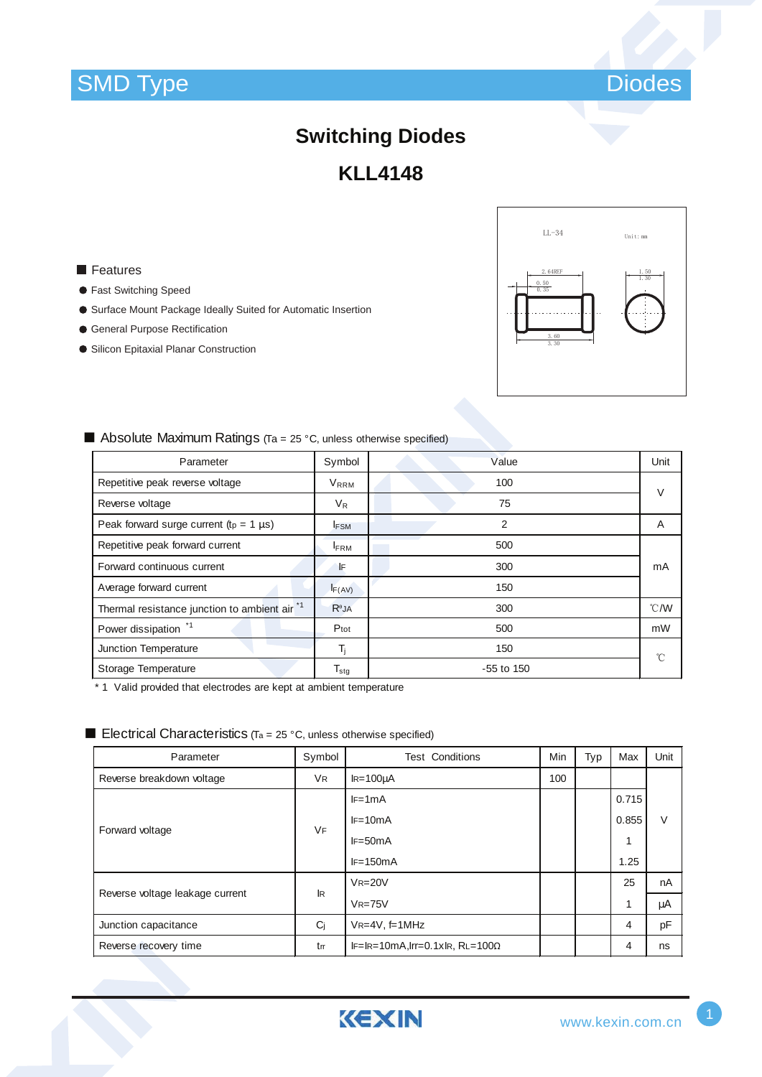



# **Switching Diodes KLL4148**

## **Features**

- **Fast Switching Speed**
- Surface Mount Package Ideally Suited for Automatic Insertion
- General Purpose Rectification
- Silicon Epitaxial Planar Construction



#### ■ Absolute Maximum Ratings (Ta = 25 °C, unless otherwise specified)

| Parameter                                     | Symbol                      | Value          | Unit   |
|-----------------------------------------------|-----------------------------|----------------|--------|
| Repetitive peak reverse voltage               | V <sub>RRM</sub>            | 100            | $\vee$ |
| Reverse voltage                               | $V_{R}$                     | 75             |        |
| Peak forward surge current ( $tp = 1 \mu s$ ) | <b>FSM</b>                  | $\overline{2}$ | A      |
| Repetitive peak forward current               | <b>FRM</b>                  | 500            |        |
| Forward continuous current                    | ١F                          | 300            | mA     |
| Average forward current                       | F(AV)                       | 150            |        |
| Thermal resistance junction to ambient air *1 | $R^{\theta}$ JA             | 300            | °C/W   |
| Power dissipation *1                          | Ptot                        | 500            | mW     |
| Junction Temperature                          | T,                          | 150            | °C     |
| Storage Temperature                           | $\mathsf{T}_{\textsf{stg}}$ | $-55$ to 150   |        |

\* 1 Valid provided that electrodes are kept at ambient temperature

#### **Electrical Characteristics** (Ta = 25 °C, unless otherwise specified)

| Parameter                       | Symbol    | <b>Test Conditions</b>                 | Min | Typ | Max   | Unit   |
|---------------------------------|-----------|----------------------------------------|-----|-----|-------|--------|
| Reverse breakdown voltage       | VR.       | $IR = 100 \mu A$                       | 100 |     |       |        |
| Forward voltage                 | <b>VF</b> | $IF=1mA$                               |     |     | 0.715 |        |
|                                 |           | $IF=10mA$                              |     |     | 0.855 | $\vee$ |
|                                 |           | $IF=50mA$                              |     |     |       |        |
|                                 |           | $IF=150mA$                             |     |     | 1.25  |        |
| Reverse voltage leakage current | <b>IR</b> | $VR = 20V$                             |     |     | 25    | nA     |
|                                 |           | $VR = 75V$                             |     |     |       | μA     |
| Junction capacitance            | Ci        | $VR=4V, f=1MHz$                        |     |     | 4     | pF     |
| Reverse recovery time           | trr       | $IF=IR=10mA, Irr=0.1xIR, RL=100\Omega$ |     |     | 4     | ns     |